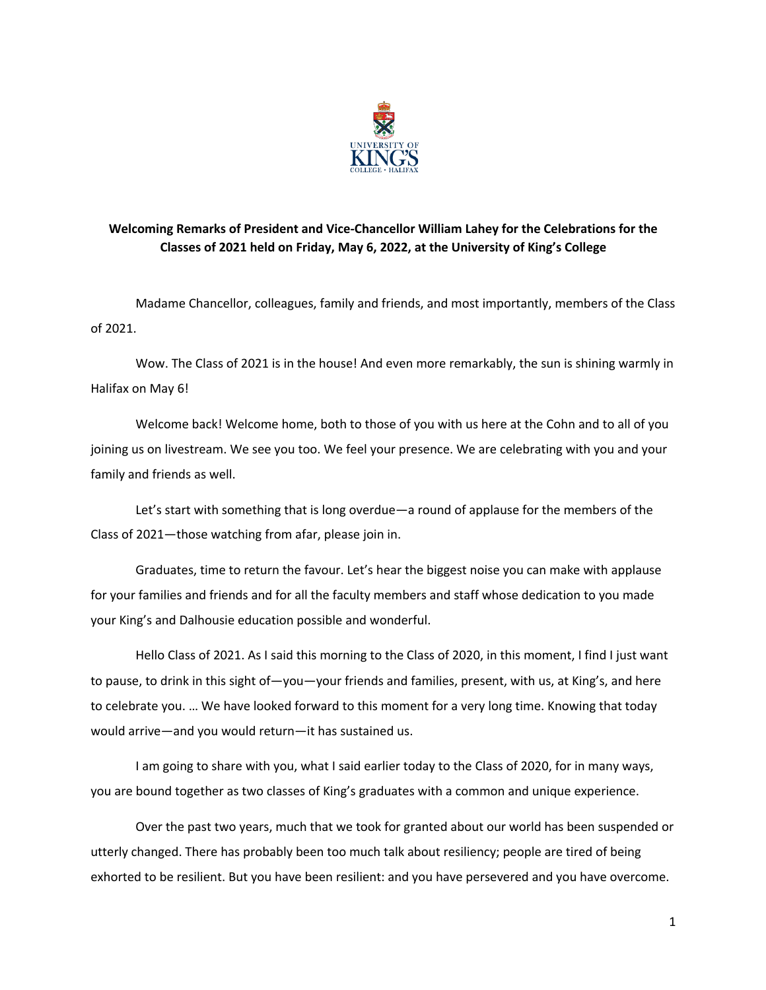

## **Welcoming Remarks of President and Vice-Chancellor William Lahey for the Celebrations for the Classes of 2021 held on Friday, May 6, 2022, at the University of King's College**

Madame Chancellor, colleagues, family and friends, and most importantly, members of the Class of 2021.

Wow. The Class of 2021 is in the house! And even more remarkably, the sun is shining warmly in Halifax on May 6!

Welcome back! Welcome home, both to those of you with us here at the Cohn and to all of you joining us on livestream. We see you too. We feel your presence. We are celebrating with you and your family and friends as well.

Let's start with something that is long overdue—a round of applause for the members of the Class of 2021—those watching from afar, please join in.

Graduates, time to return the favour. Let's hear the biggest noise you can make with applause for your families and friends and for all the faculty members and staff whose dedication to you made your King's and Dalhousie education possible and wonderful.

Hello Class of 2021. As I said this morning to the Class of 2020, in this moment, I find I just want to pause, to drink in this sight of—you—your friends and families, present, with us, at King's, and here to celebrate you. … We have looked forward to this moment for a very long time. Knowing that today would arrive—and you would return—it has sustained us.

I am going to share with you, what I said earlier today to the Class of 2020, for in many ways, you are bound together as two classes of King's graduates with a common and unique experience.

Over the past two years, much that we took for granted about our world has been suspended or utterly changed. There has probably been too much talk about resiliency; people are tired of being exhorted to be resilient. But you have been resilient: and you have persevered and you have overcome.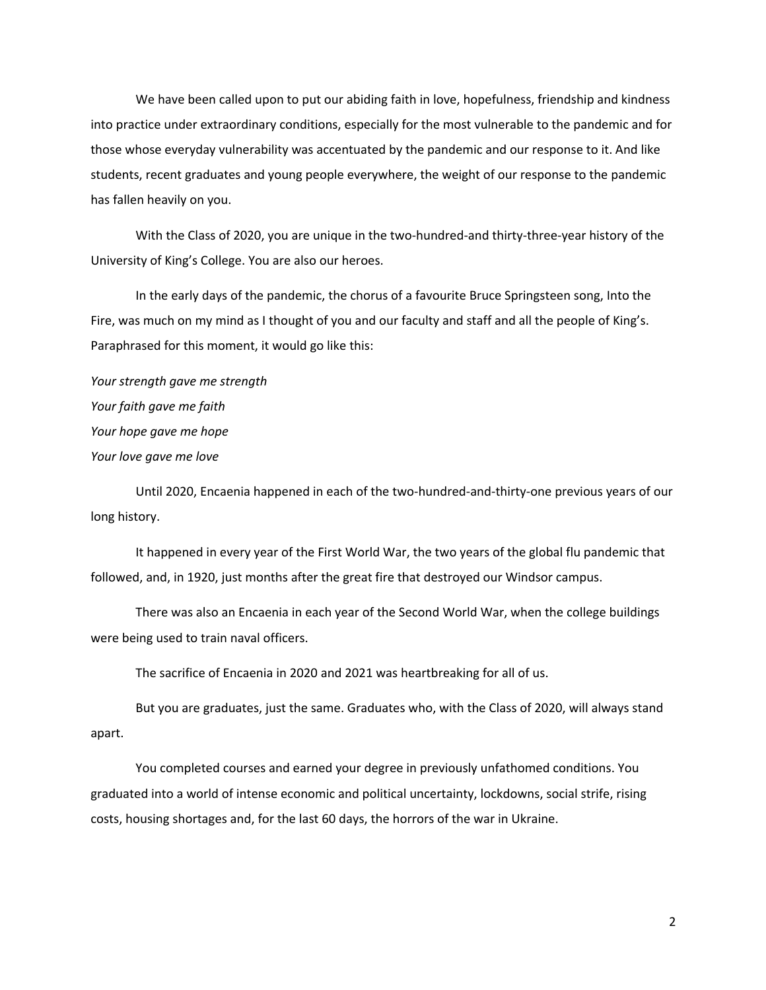We have been called upon to put our abiding faith in love, hopefulness, friendship and kindness into practice under extraordinary conditions, especially for the most vulnerable to the pandemic and for those whose everyday vulnerability was accentuated by the pandemic and our response to it. And like students, recent graduates and young people everywhere, the weight of our response to the pandemic has fallen heavily on you.

With the Class of 2020, you are unique in the two-hundred-and thirty-three-year history of the University of King's College. You are also our heroes.

In the early days of the pandemic, the chorus of a favourite Bruce Springsteen song, Into the Fire, was much on my mind as I thought of you and our faculty and staff and all the people of King's. Paraphrased for this moment, it would go like this:

*Your strength gave me strength Your faith gave me faith Your hope gave me hope Your love gave me love*

Until 2020, Encaenia happened in each of the two-hundred-and-thirty-one previous years of our long history.

It happened in every year of the First World War, the two years of the global flu pandemic that followed, and, in 1920, just months after the great fire that destroyed our Windsor campus.

There was also an Encaenia in each year of the Second World War, when the college buildings were being used to train naval officers.

The sacrifice of Encaenia in 2020 and 2021 was heartbreaking for all of us.

But you are graduates, just the same. Graduates who, with the Class of 2020, will always stand apart.

You completed courses and earned your degree in previously unfathomed conditions. You graduated into a world of intense economic and political uncertainty, lockdowns, social strife, rising costs, housing shortages and, for the last 60 days, the horrors of the war in Ukraine.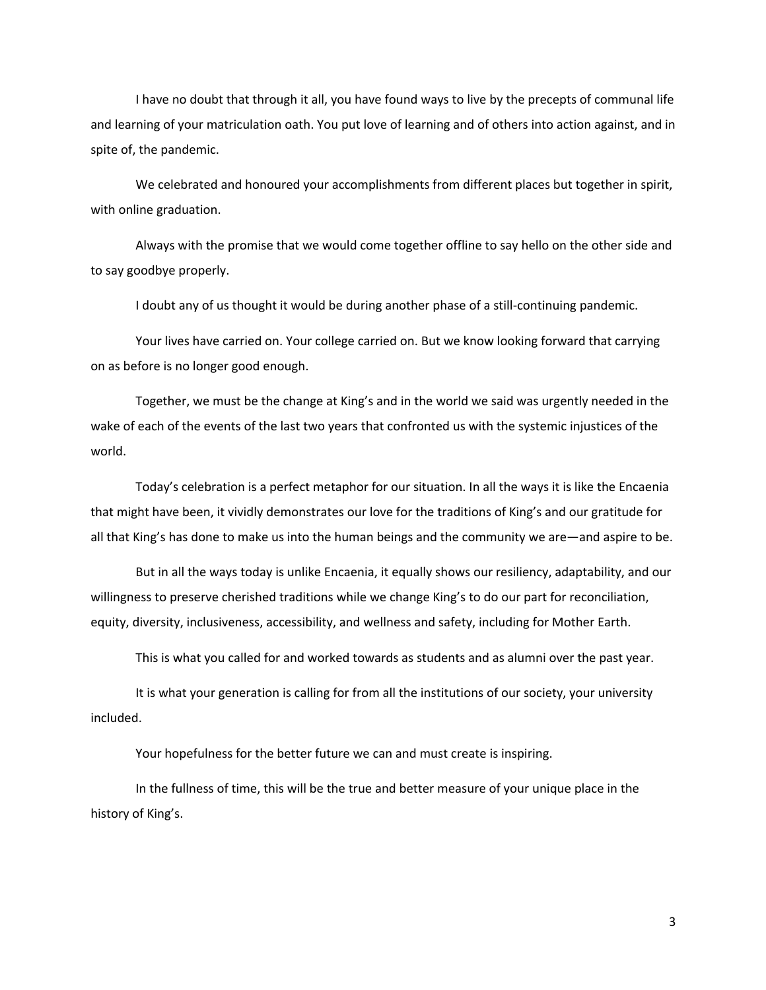I have no doubt that through it all, you have found ways to live by the precepts of communal life and learning of your matriculation oath. You put love of learning and of others into action against, and in spite of, the pandemic.

We celebrated and honoured your accomplishments from different places but together in spirit, with online graduation.

Always with the promise that we would come together offline to say hello on the other side and to say goodbye properly.

I doubt any of us thought it would be during another phase of a still-continuing pandemic.

Your lives have carried on. Your college carried on. But we know looking forward that carrying on as before is no longer good enough.

Together, we must be the change at King's and in the world we said was urgently needed in the wake of each of the events of the last two years that confronted us with the systemic injustices of the world.

Today's celebration is a perfect metaphor for our situation. In all the ways it is like the Encaenia that might have been, it vividly demonstrates our love for the traditions of King's and our gratitude for all that King's has done to make us into the human beings and the community we are—and aspire to be.

But in all the ways today is unlike Encaenia, it equally shows our resiliency, adaptability, and our willingness to preserve cherished traditions while we change King's to do our part for reconciliation, equity, diversity, inclusiveness, accessibility, and wellness and safety, including for Mother Earth.

This is what you called for and worked towards as students and as alumni over the past year.

It is what your generation is calling for from all the institutions of our society, your university included.

Your hopefulness for the better future we can and must create is inspiring.

In the fullness of time, this will be the true and better measure of your unique place in the history of King's.